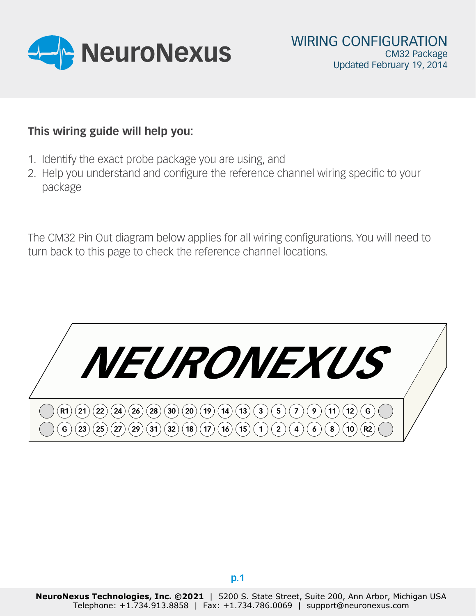

# **This wiring guide will help you:**

- 1. Identify the exact probe package you are using, and
- 2. Help you understand and configure the reference channel wiring specific to your package

The CM32 Pin Out diagram below applies for all wiring configurations. You will need to turn back to this page to check the reference channel locations.

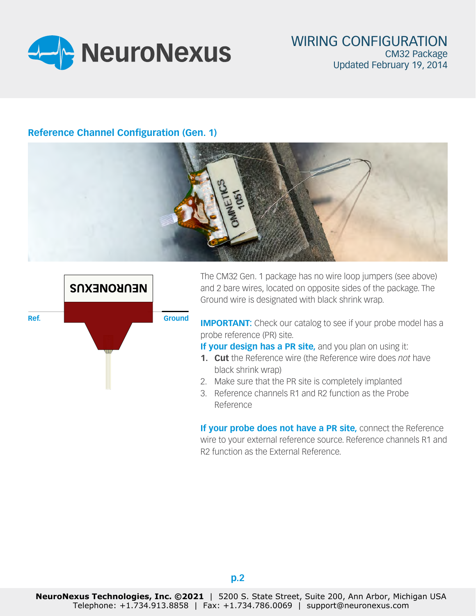

## **Reference Channel Configuration (Gen. 1)**





The CM32 Gen. 1 package has no wire loop jumpers (see above) and 2 bare wires, located on opposite sides of the package. The Ground wire is designated with black shrink wrap.

**IMPORTANT:** Check our catalog to see if your probe model has a probe reference (PR) site.

**If your design has a PR site, and you plan on using it:** 

- **1. Cut** the Reference wire (the Reference wire does *not* have black shrink wrap)
- 2. Make sure that the PR site is completely implanted
- 3. Reference channels R1 and R2 function as the Probe Reference

**If your probe does not have a PR site, connect the Reference** wire to your external reference source. Reference channels R1 and R2 function as the External Reference.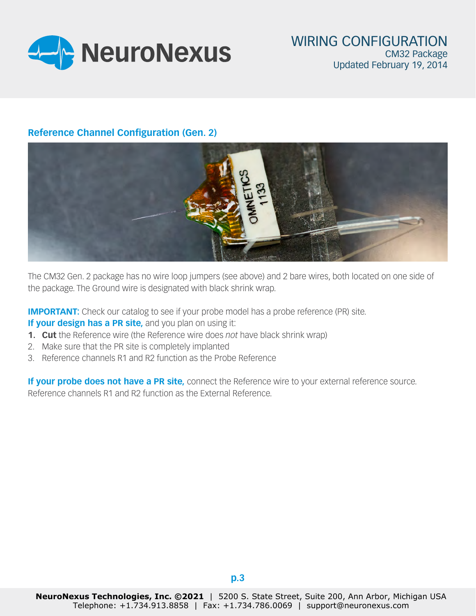

### **Reference Channel Configuration (Gen. 2)**



The CM32 Gen. 2 package has no wire loop jumpers (see above) and 2 bare wires, both located on one side of the package. The Ground wire is designated with black shrink wrap.

**IMPORTANT:** Check our catalog to see if your probe model has a probe reference (PR) site.

**If your design has a PR site, and you plan on using it:** 

- **1. Cut** the Reference wire (the Reference wire does *not* have black shrink wrap)
- 2. Make sure that the PR site is completely implanted
- 3. Reference channels R1 and R2 function as the Probe Reference

**If your probe does not have a PR site,** connect the Reference wire to your external reference source. Reference channels R1 and R2 function as the External Reference.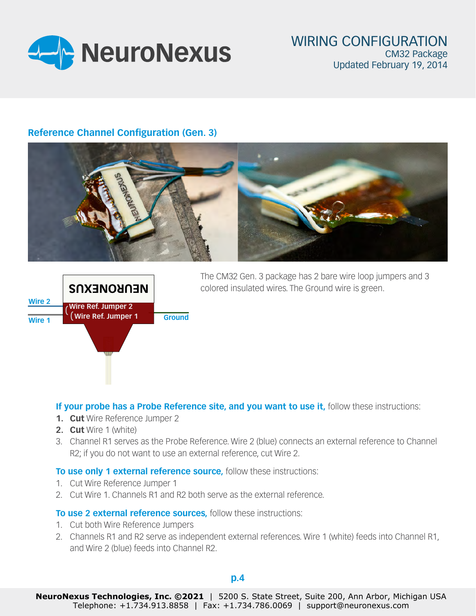

### **Reference Channel Configuration (Gen. 3)**





The CM32 Gen. 3 package has 2 bare wire loop jumpers and 3 colored insulated wires. The Ground wire is green.

### **If your probe has a Probe Reference site, and you want to use it, follow these instructions:**

- **1. Cut** Wire Reference Jumper 2
- **2. Cut** Wire 1 (white)
- 3. Channel R1 serves as the Probe Reference. Wire 2 (blue) connects an external reference to Channel R2; if you do not want to use an external reference, cut Wire 2.

#### **To use only 1 external reference source,** follow these instructions:

- 1. Cut Wire Reference Jumper 1
- 2. Cut Wire 1. Channels R1 and R2 both serve as the external reference.

#### **To use 2 external reference sources,** follow these instructions:

- 1. Cut both Wire Reference Jumpers
- 2. Channels R1 and R2 serve as independent external references. Wire 1 (white) feeds into Channel R1, and Wire 2 (blue) feeds into Channel R2.